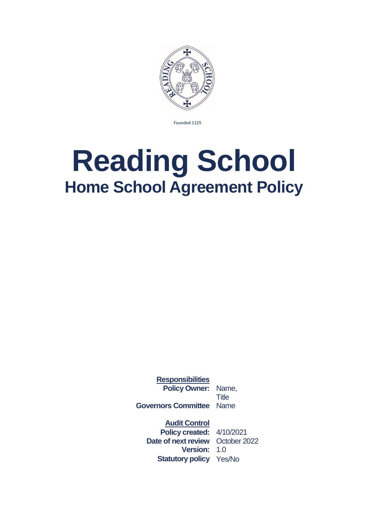

Founded 1125

# **Reading School Home School Agreement Policy**

**Responsibilities Policy Owner:** Name,

**Title Governors Committee** Name

**Audit Control**

**Policy created:** 4/10/2021 **Date of next review** October 2022 **Version:** 1.0 **Statutory policy** Yes/No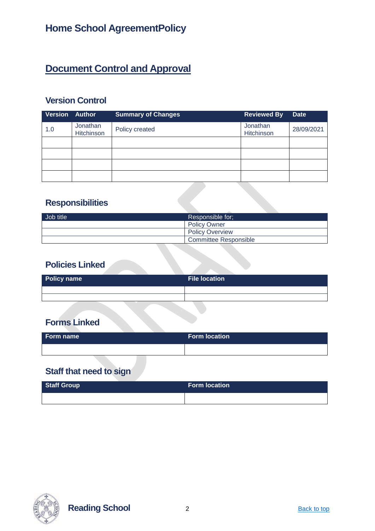# **Document Control and Approval**

## **Version Control**

| Version | <b>Author</b>          | <b>Summary of Changes</b> | <b>Reviewed By</b>     | <b>Date</b> |
|---------|------------------------|---------------------------|------------------------|-------------|
| 1.0     | Jonathan<br>Hitchinson | Policy created            | Jonathan<br>Hitchinson | 28/09/2021  |
|         |                        |                           |                        |             |
|         |                        |                           |                        |             |
|         |                        |                           |                        |             |
|         |                        |                           |                        |             |

## **Responsibilities**

| Job title | Responsible for:       |
|-----------|------------------------|
|           | <b>Policy Owner</b>    |
|           | <b>Policy Overview</b> |
|           | Committee Responsible  |

#### **Policies Linked**

| Policy name | <b>File location</b> |
|-------------|----------------------|
|             |                      |
|             |                      |

## **Forms Linked**

| Form name | <b>Form location</b> |
|-----------|----------------------|
|           |                      |

## **Staff that need to sign**

| <b>Staff Group</b> | <b>Form location</b> |
|--------------------|----------------------|
|                    |                      |



**Reading School** 2 **Back to top**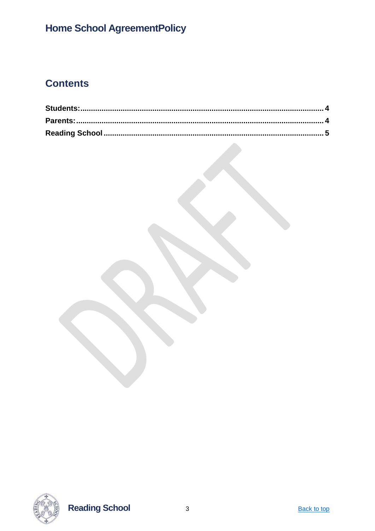# **Home School AgreementPolicy**

# **Contents**



**Reading School**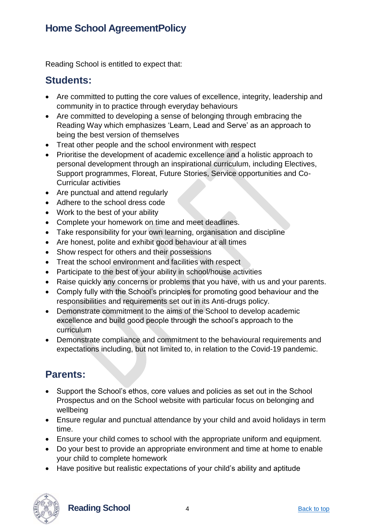## **Home School AgreementPolicy**

Reading School is entitled to expect that:

#### <span id="page-3-0"></span>**Students:**

- Are committed to putting the core values of excellence, integrity, leadership and community in to practice through everyday behaviours
- Are committed to developing a sense of belonging through embracing the Reading Way which emphasizes 'Learn, Lead and Serve' as an approach to being the best version of themselves
- Treat other people and the school environment with respect
- Prioritise the development of academic excellence and a holistic approach to personal development through an inspirational curriculum, including Electives, Support programmes, Floreat, Future Stories, Service opportunities and Co-Curricular activities
- Are punctual and attend regularly
- Adhere to the school dress code
- Work to the best of your ability
- Complete your homework on time and meet deadlines.
- Take responsibility for your own learning, organisation and discipline
- Are honest, polite and exhibit good behaviour at all times
- Show respect for others and their possessions
- Treat the school environment and facilities with respect
- Participate to the best of your ability in school/house activities
- Raise quickly any concerns or problems that you have, with us and your parents.
- Comply fully with the School's principles for promoting good behaviour and the responsibilities and requirements set out in its Anti-drugs policy.
- Demonstrate commitment to the aims of the School to develop academic excellence and build good people through the school's approach to the curriculum
- Demonstrate compliance and commitment to the behavioural requirements and expectations including, but not limited to, in relation to the Covid-19 pandemic.

## <span id="page-3-1"></span>**Parents:**

- Support the School's ethos, core values and policies as set out in the School Prospectus and on the School website with particular focus on belonging and wellbeing
- Ensure regular and punctual attendance by your child and avoid holidays in term time.
- Ensure your child comes to school with the appropriate uniform and equipment.
- Do your best to provide an appropriate environment and time at home to enable your child to complete homework
- Have positive but realistic expectations of your child's ability and aptitude



**Reading School** 4 Back to top